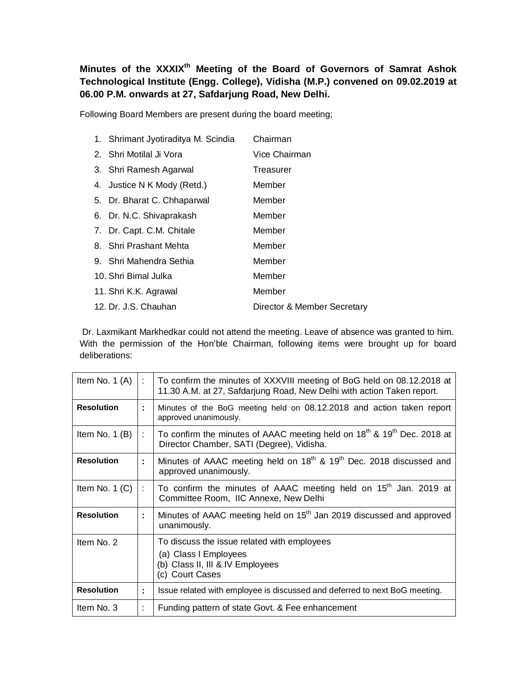**Minutes of the XXXIXth Meeting of the Board of Governors of Samrat Ashok Technological Institute (Engg. College), Vidisha (M.P.) convened on 09.02.2019 at 06.00 P.M. onwards at 27, Safdarjung Road, New Delhi.**

Following Board Members are present during the board meeting;

| 1. Shrimant Jyotiraditya M. Scindia | Chairman                    |
|-------------------------------------|-----------------------------|
| 2. Shri Motilal Ji Vora             | Vice Chairman               |
| 3. Shri Ramesh Agarwal              | Treasurer                   |
| 4. Justice N K Mody (Retd.)         | Member                      |
| 5. Dr. Bharat C. Chhaparwal         | Member                      |
| 6. Dr. N.C. Shivaprakash            | Member                      |
| 7. Dr. Capt. C.M. Chitale           | Member                      |
| 8. Shri Prashant Mehta              | Member                      |
| 9. Shri Mahendra Sethia             | Member                      |
| 10. Shri Bimal Julka                | Member                      |
| 11. Shri K.K. Agrawal               | Member                      |
| 12. Dr. J.S. Chauhan                | Director & Member Secretary |

Dr. Laxmikant Markhedkar could not attend the meeting. Leave of absence was granted to him. With the permission of the Hon'ble Chairman, following items were brought up for board deliberations:

| Item No. $1(A)$   | ÷  | To confirm the minutes of XXXVIII meeting of BoG held on 08.12.2018 at<br>11.30 A.M. at 27, Safdarjung Road, New Delhi with action Taken report. |
|-------------------|----|--------------------------------------------------------------------------------------------------------------------------------------------------|
| <b>Resolution</b> | ÷. | Minutes of the BoG meeting held on 08.12.2018 and action taken report<br>approved unanimously.                                                   |
| Item No. $1(B)$   | ÷. | To confirm the minutes of AAAC meeting held on 18 <sup>th</sup> & 19 <sup>th</sup> Dec. 2018 at<br>Director Chamber, SATI (Degree), Vidisha.     |
| <b>Resolution</b> | ÷  | Minutes of AAAC meeting held on 18 <sup>th</sup> & 19 <sup>th</sup> Dec. 2018 discussed and<br>approved unanimously.                             |
| Item No. $1$ (C)  | ÷  | To confirm the minutes of AAAC meeting held on 15 <sup>th</sup> Jan. 2019 at<br>Committee Room, IIC Annexe, New Delhi                            |
| <b>Resolution</b> | ÷  | Minutes of AAAC meeting held on 15 <sup>th</sup> Jan 2019 discussed and approved<br>unanimously.                                                 |
| Item No. 2        |    | To discuss the issue related with employees<br>(a) Class I Employees<br>(b) Class II, III & IV Employees<br>(c) Court Cases                      |
| <b>Resolution</b> | ÷  | Issue related with employee is discussed and deferred to next BoG meeting.                                                                       |
| Item No. 3        |    | Funding pattern of state Govt. & Fee enhancement                                                                                                 |